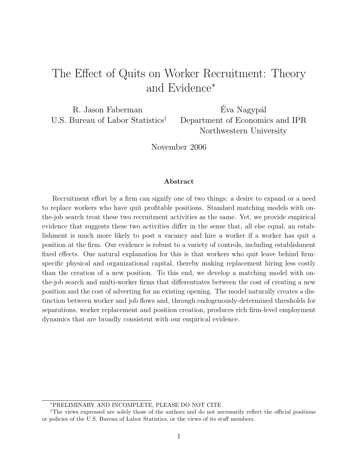# The Effect of Quits on Worker Recruitment: Theory and Evidence<sup>∗</sup>

R. Jason Faberman U.S. Bureau of Labor Statistics†

Éva Nagypál Department of Economics and IPR Northwestern University

November 2006

#### Abstract

Recruitment effort by a firm can signify one of two things: a desire to expand or a need to replace workers who have quit profitable positions. Standard matching models with onthe-job search treat these two recruitment activities as the same. Yet, we provide empirical evidence that suggests these two activities differ in the sense that, all else equal, an establishment is much more likely to post a vacancy and hire a worker if a worker has quit a position at the firm. Our evidence is robust to a variety of controls, including establishment fixed effects. One natural explanation for this is that workers who quit leave behind firmspecific physical and organizational capital, thereby making replacement hiring less costly than the creation of a new position. To this end, we develop a matching model with onthe-job search and multi-worker firms that differentiates between the cost of creating a new position and the cost of adverting for an existing opening. The model naturally creates a distinction between worker and job flows and, through endogenously-determined thresholds for separations, worker replacement and position creation, produces rich firm-level employment dynamics that are broadly consistent with our empirical evidence.

<sup>∗</sup>PRELIMINARY AND INCOMPLETE, PLEASE DO NOT CITE

<sup>†</sup>The views expressed are solely those of the authors and do not necessarily reflect the official positions or policies of the U.S. Bureau of Labor Statistics, or the views of its staff members.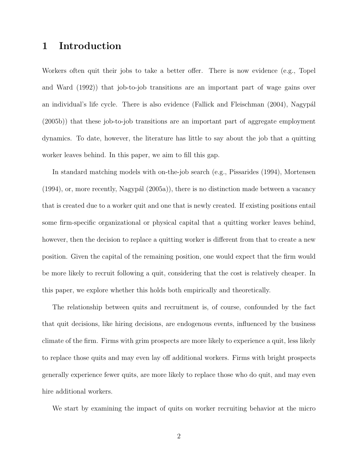# 1 Introduction

Workers often quit their jobs to take a better offer. There is now evidence (e.g., Topel and Ward (1992)) that job-to-job transitions are an important part of wage gains over an individual's life cycle. There is also evidence (Fallick and Fleischman (2004), Nagypál (2005b)) that these job-to-job transitions are an important part of aggregate employment dynamics. To date, however, the literature has little to say about the job that a quitting worker leaves behind. In this paper, we aim to fill this gap.

In standard matching models with on-the-job search (e.g., Pissarides (1994), Mortensen  $(1994)$ , or, more recently, Nagypál  $(2005a)$ , there is no distinction made between a vacancy that is created due to a worker quit and one that is newly created. If existing positions entail some firm-specific organizational or physical capital that a quitting worker leaves behind, however, then the decision to replace a quitting worker is different from that to create a new position. Given the capital of the remaining position, one would expect that the firm would be more likely to recruit following a quit, considering that the cost is relatively cheaper. In this paper, we explore whether this holds both empirically and theoretically.

The relationship between quits and recruitment is, of course, confounded by the fact that quit decisions, like hiring decisions, are endogenous events, influenced by the business climate of the firm. Firms with grim prospects are more likely to experience a quit, less likely to replace those quits and may even lay off additional workers. Firms with bright prospects generally experience fewer quits, are more likely to replace those who do quit, and may even hire additional workers.

We start by examining the impact of quits on worker recruiting behavior at the micro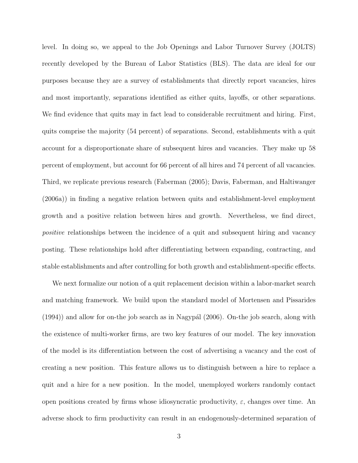level. In doing so, we appeal to the Job Openings and Labor Turnover Survey (JOLTS) recently developed by the Bureau of Labor Statistics (BLS). The data are ideal for our purposes because they are a survey of establishments that directly report vacancies, hires and most importantly, separations identified as either quits, layoffs, or other separations. We find evidence that quits may in fact lead to considerable recruitment and hiring. First, quits comprise the majority (54 percent) of separations. Second, establishments with a quit account for a disproportionate share of subsequent hires and vacancies. They make up 58 percent of employment, but account for 66 percent of all hires and 74 percent of all vacancies. Third, we replicate previous research (Faberman (2005); Davis, Faberman, and Haltiwanger (2006a)) in finding a negative relation between quits and establishment-level employment growth and a positive relation between hires and growth. Nevertheless, we find direct, positive relationships between the incidence of a quit and subsequent hiring and vacancy posting. These relationships hold after differentiating between expanding, contracting, and stable establishments and after controlling for both growth and establishment-specific effects.

We next formalize our notion of a quit replacement decision within a labor-market search and matching framework. We build upon the standard model of Mortensen and Pissarides  $(1994)$ ) and allow for on-the job search as in Nagypa<sup> $(2006)$ </sup>. On-the job search, along with the existence of multi-worker firms, are two key features of our model. The key innovation of the model is its differentiation between the cost of advertising a vacancy and the cost of creating a new position. This feature allows us to distinguish between a hire to replace a quit and a hire for a new position. In the model, unemployed workers randomly contact open positions created by firms whose idiosyncratic productivity,  $\varepsilon$ , changes over time. An adverse shock to firm productivity can result in an endogenously-determined separation of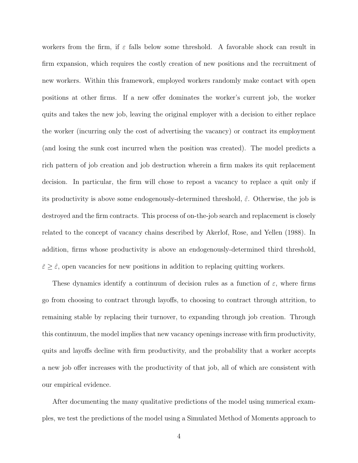workers from the firm, if  $\varepsilon$  falls below some threshold. A favorable shock can result in firm expansion, which requires the costly creation of new positions and the recruitment of new workers. Within this framework, employed workers randomly make contact with open positions at other firms. If a new offer dominates the worker's current job, the worker quits and takes the new job, leaving the original employer with a decision to either replace the worker (incurring only the cost of advertising the vacancy) or contract its employment (and losing the sunk cost incurred when the position was created). The model predicts a rich pattern of job creation and job destruction wherein a firm makes its quit replacement decision. In particular, the firm will chose to repost a vacancy to replace a quit only if its productivity is above some endogenously-determined threshold,  $\hat{\varepsilon}$ . Otherwise, the job is destroyed and the firm contracts. This process of on-the-job search and replacement is closely related to the concept of vacancy chains described by Akerlof, Rose, and Yellen (1988). In addition, firms whose productivity is above an endogenously-determined third threshold,  $\check{\varepsilon} \geq \hat{\varepsilon}$ , open vacancies for new positions in addition to replacing quitting workers.

These dynamics identify a continuum of decision rules as a function of  $\varepsilon$ , where firms go from choosing to contract through layoffs, to choosing to contract through attrition, to remaining stable by replacing their turnover, to expanding through job creation. Through this continuum, the model implies that new vacancy openings increase with firm productivity, quits and layoffs decline with firm productivity, and the probability that a worker accepts a new job offer increases with the productivity of that job, all of which are consistent with our empirical evidence.

After documenting the many qualitative predictions of the model using numerical examples, we test the predictions of the model using a Simulated Method of Moments approach to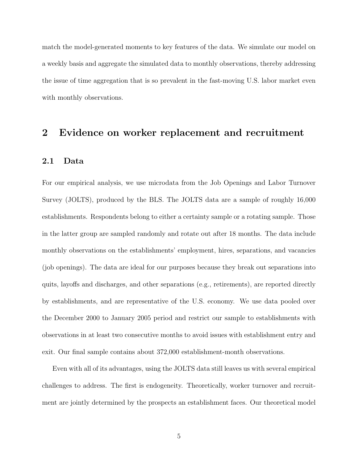match the model-generated moments to key features of the data. We simulate our model on a weekly basis and aggregate the simulated data to monthly observations, thereby addressing the issue of time aggregation that is so prevalent in the fast-moving U.S. labor market even with monthly observations.

### 2 Evidence on worker replacement and recruitment

#### 2.1 Data

For our empirical analysis, we use microdata from the Job Openings and Labor Turnover Survey (JOLTS), produced by the BLS. The JOLTS data are a sample of roughly 16,000 establishments. Respondents belong to either a certainty sample or a rotating sample. Those in the latter group are sampled randomly and rotate out after 18 months. The data include monthly observations on the establishments' employment, hires, separations, and vacancies (job openings). The data are ideal for our purposes because they break out separations into quits, layoffs and discharges, and other separations (e.g., retirements), are reported directly by establishments, and are representative of the U.S. economy. We use data pooled over the December 2000 to January 2005 period and restrict our sample to establishments with observations in at least two consecutive months to avoid issues with establishment entry and exit. Our final sample contains about 372,000 establishment-month observations.

Even with all of its advantages, using the JOLTS data still leaves us with several empirical challenges to address. The first is endogeneity. Theoretically, worker turnover and recruitment are jointly determined by the prospects an establishment faces. Our theoretical model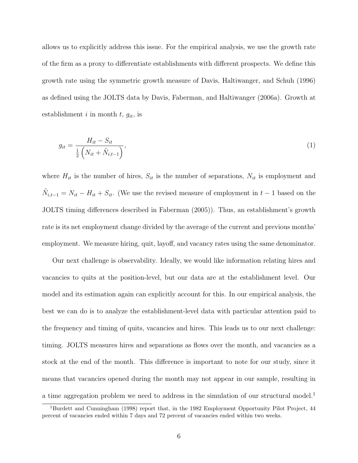allows us to explicitly address this issue. For the empirical analysis, we use the growth rate of the firm as a proxy to differentiate establishments with different prospects. We define this growth rate using the symmetric growth measure of Davis, Haltiwanger, and Schuh (1996) as defined using the JOLTS data by Davis, Faberman, and Haltiwanger (2006a). Growth at establishment i in month  $t, g_{it}$ , is

$$
g_{it} = \frac{H_{it} - S_{it}}{\frac{1}{2} \left( N_{it} + \tilde{N}_{i,t-1} \right)},
$$
\n(1)

where  $H_{it}$  is the number of hires,  $S_{it}$  is the number of separations,  $N_{it}$  is employment and  $\tilde{N}_{i,t-1} = N_{it} - H_{it} + S_{it}$ . (We use the revised measure of employment in  $t-1$  based on the JOLTS timing differences described in Faberman (2005)). Thus, an establishment's growth rate is its net employment change divided by the average of the current and previous months' employment. We measure hiring, quit, layoff, and vacancy rates using the same denominator.

Our next challenge is observability. Ideally, we would like information relating hires and vacancies to quits at the position-level, but our data are at the establishment level. Our model and its estimation again can explicitly account for this. In our empirical analysis, the best we can do is to analyze the establishment-level data with particular attention paid to the frequency and timing of quits, vacancies and hires. This leads us to our next challenge: timing. JOLTS measures hires and separations as flows over the month, and vacancies as a stock at the end of the month. This difference is important to note for our study, since it means that vacancies opened during the month may not appear in our sample, resulting in a time aggregation problem we need to address in the simulation of our structural model.<sup>1</sup>

<sup>1</sup>Burdett and Cunningham (1998) report that, in the 1982 Employment Opportunity Pilot Project, 44 percent of vacancies ended within 7 days and 72 percent of vacancies ended within two weeks.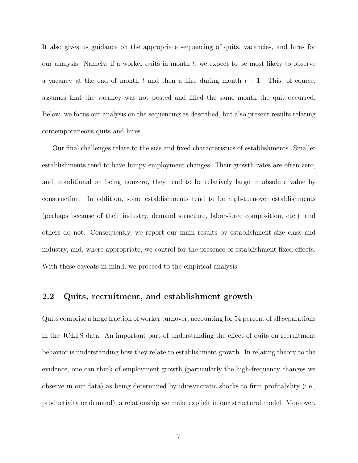It also gives us guidance on the appropriate sequencing of quits, vacancies, and hires for our analysis. Namely, if a worker quits in month t, we expect to be most likely to observe a vacancy at the end of month t and then a hire during month  $t + 1$ . This, of course, assumes that the vacancy was not posted and filled the same month the quit occurred. Below, we focus our analysis on the sequencing as described, but also present results relating contemporaneous quits and hires.

Our final challenges relate to the size and fixed characteristics of establishments. Smaller establishments tend to have lumpy employment changes. Their growth rates are often zero, and, conditional on being nonzero, they tend to be relatively large in absolute value by construction. In addition, some establishments tend to be high-turnover establishments (perhaps because of their industry, demand structure, labor-force composition, etc.) and others do not. Consequently, we report our main results by establishment size class and industry, and, where appropriate, we control for the presence of establishment fixed effects. With these caveats in mind, we proceed to the empirical analysis.

#### 2.2 Quits, recruitment, and establishment growth

Quits comprise a large fraction of worker turnover, accounting for 54 percent of all separations in the JOLTS data. An important part of understanding the effect of quits on recruitment behavior is understanding how they relate to establishment growth. In relating theory to the evidence, one can think of employment growth (particularly the high-frequency changes we observe in our data) as being determined by idiosyncratic shocks to firm profitability (i.e., productivity or demand), a relationship we make explicit in our structural model. Moreover,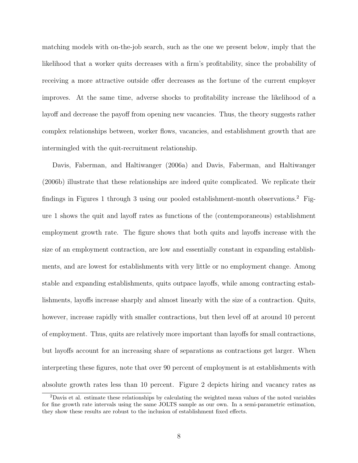matching models with on-the-job search, such as the one we present below, imply that the likelihood that a worker quits decreases with a firm's profitability, since the probability of receiving a more attractive outside offer decreases as the fortune of the current employer improves. At the same time, adverse shocks to profitability increase the likelihood of a layoff and decrease the payoff from opening new vacancies. Thus, the theory suggests rather complex relationships between, worker flows, vacancies, and establishment growth that are intermingled with the quit-recruitment relationship.

Davis, Faberman, and Haltiwanger (2006a) and Davis, Faberman, and Haltiwanger (2006b) illustrate that these relationships are indeed quite complicated. We replicate their findings in Figures 1 through 3 using our pooled establishment-month observations.<sup>2</sup> Figure 1 shows the quit and layoff rates as functions of the (contemporaneous) establishment employment growth rate. The figure shows that both quits and layoffs increase with the size of an employment contraction, are low and essentially constant in expanding establishments, and are lowest for establishments with very little or no employment change. Among stable and expanding establishments, quits outpace layoffs, while among contracting establishments, layoffs increase sharply and almost linearly with the size of a contraction. Quits, however, increase rapidly with smaller contractions, but then level off at around 10 percent of employment. Thus, quits are relatively more important than layoffs for small contractions, but layoffs account for an increasing share of separations as contractions get larger. When interpreting these figures, note that over 90 percent of employment is at establishments with absolute growth rates less than 10 percent. Figure 2 depicts hiring and vacancy rates as

<sup>2</sup>Davis et al. estimate these relationships by calculating the weighted mean values of the noted variables for fine growth rate intervals using the same JOLTS sample as our own. In a semi-parametric estimation, they show these results are robust to the inclusion of establishment fixed effects.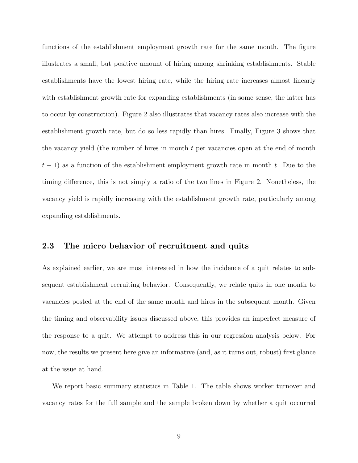functions of the establishment employment growth rate for the same month. The figure illustrates a small, but positive amount of hiring among shrinking establishments. Stable establishments have the lowest hiring rate, while the hiring rate increases almost linearly with establishment growth rate for expanding establishments (in some sense, the latter has to occur by construction). Figure 2 also illustrates that vacancy rates also increase with the establishment growth rate, but do so less rapidly than hires. Finally, Figure 3 shows that the vacancy yield (the number of hires in month  $t$  per vacancies open at the end of month  $t-1$ ) as a function of the establishment employment growth rate in month t. Due to the timing difference, this is not simply a ratio of the two lines in Figure 2. Nonetheless, the vacancy yield is rapidly increasing with the establishment growth rate, particularly among expanding establishments.

#### 2.3 The micro behavior of recruitment and quits

As explained earlier, we are most interested in how the incidence of a quit relates to subsequent establishment recruiting behavior. Consequently, we relate quits in one month to vacancies posted at the end of the same month and hires in the subsequent month. Given the timing and observability issues discussed above, this provides an imperfect measure of the response to a quit. We attempt to address this in our regression analysis below. For now, the results we present here give an informative (and, as it turns out, robust) first glance at the issue at hand.

We report basic summary statistics in Table 1. The table shows worker turnover and vacancy rates for the full sample and the sample broken down by whether a quit occurred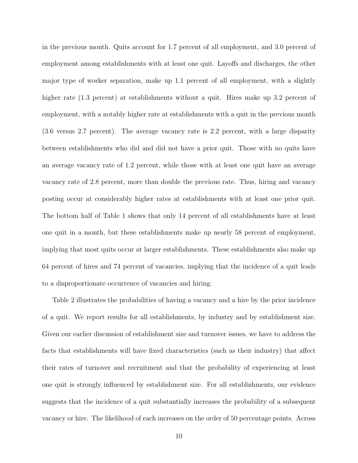in the previous month. Quits account for 1.7 percent of all employment, and 3.0 percent of employment among establishments with at least one quit. Layoffs and discharges, the other major type of worker separation, make up 1.1 percent of all employment, with a slightly higher rate (1.3 percent) at establishments without a quit. Hires make up 3.2 percent of employment, with a notably higher rate at establishments with a quit in the previous month (3.6 versus 2.7 percent). The average vacancy rate is 2.2 percent, with a large disparity between establishments who did and did not have a prior quit. Those with no quits have an average vacancy rate of 1.2 percent, while those with at least one quit have an average vacancy rate of 2.8 percent, more than double the previous rate. Thus, hiring and vacancy posting occur at considerably higher rates at establishments with at least one prior quit. The bottom half of Table 1 shows that only 14 percent of all establishments have at least one quit in a month, but these establishments make up nearly 58 percent of employment, implying that most quits occur at larger establishments. These establishments also make up 64 percent of hires and 74 percent of vacancies, implying that the incidence of a quit leads to a disproportionate occurrence of vacancies and hiring.

Table 2 illustrates the probabilities of having a vacancy and a hire by the prior incidence of a quit. We report results for all establishments, by industry and by establishment size. Given our earlier discussion of establishment size and turnover issues, we have to address the facts that establishments will have fixed characteristics (such as their industry) that affect their rates of turnover and recruitment and that the probability of experiencing at least one quit is strongly influenced by establishment size. For all establishments, our evidence suggests that the incidence of a quit substantially increases the probability of a subsequent vacancy or hire. The likelihood of each increases on the order of 50 percentage points. Across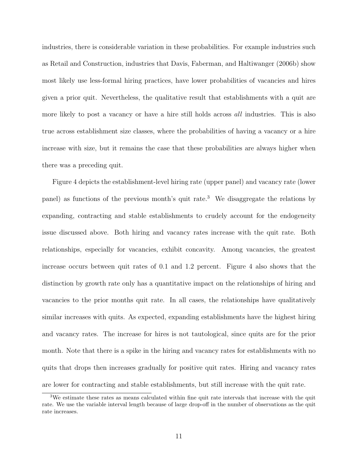industries, there is considerable variation in these probabilities. For example industries such as Retail and Construction, industries that Davis, Faberman, and Haltiwanger (2006b) show most likely use less-formal hiring practices, have lower probabilities of vacancies and hires given a prior quit. Nevertheless, the qualitative result that establishments with a quit are more likely to post a vacancy or have a hire still holds across *all* industries. This is also true across establishment size classes, where the probabilities of having a vacancy or a hire increase with size, but it remains the case that these probabilities are always higher when there was a preceding quit.

Figure 4 depicts the establishment-level hiring rate (upper panel) and vacancy rate (lower panel) as functions of the previous month's quit rate.<sup>3</sup> We disaggregate the relations by expanding, contracting and stable establishments to crudely account for the endogeneity issue discussed above. Both hiring and vacancy rates increase with the quit rate. Both relationships, especially for vacancies, exhibit concavity. Among vacancies, the greatest increase occurs between quit rates of 0.1 and 1.2 percent. Figure 4 also shows that the distinction by growth rate only has a quantitative impact on the relationships of hiring and vacancies to the prior months quit rate. In all cases, the relationships have qualitatively similar increases with quits. As expected, expanding establishments have the highest hiring and vacancy rates. The increase for hires is not tautological, since quits are for the prior month. Note that there is a spike in the hiring and vacancy rates for establishments with no quits that drops then increases gradually for positive quit rates. Hiring and vacancy rates are lower for contracting and stable establishments, but still increase with the quit rate.

<sup>&</sup>lt;sup>3</sup>We estimate these rates as means calculated within fine quit rate intervals that increase with the quit rate. We use the variable interval length because of large drop-off in the number of observations as the quit rate increases.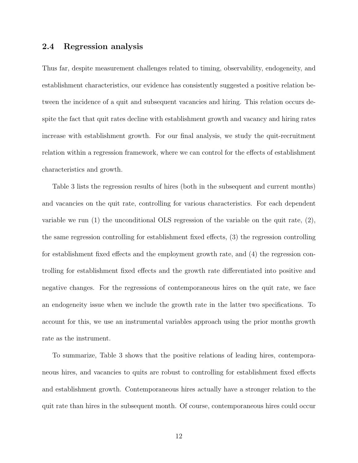#### 2.4 Regression analysis

Thus far, despite measurement challenges related to timing, observability, endogeneity, and establishment characteristics, our evidence has consistently suggested a positive relation between the incidence of a quit and subsequent vacancies and hiring. This relation occurs despite the fact that quit rates decline with establishment growth and vacancy and hiring rates increase with establishment growth. For our final analysis, we study the quit-recruitment relation within a regression framework, where we can control for the effects of establishment characteristics and growth.

Table 3 lists the regression results of hires (both in the subsequent and current months) and vacancies on the quit rate, controlling for various characteristics. For each dependent variable we run (1) the unconditional OLS regression of the variable on the quit rate, (2), the same regression controlling for establishment fixed effects, (3) the regression controlling for establishment fixed effects and the employment growth rate, and (4) the regression controlling for establishment fixed effects and the growth rate differentiated into positive and negative changes. For the regressions of contemporaneous hires on the quit rate, we face an endogeneity issue when we include the growth rate in the latter two specifications. To account for this, we use an instrumental variables approach using the prior months growth rate as the instrument.

To summarize, Table 3 shows that the positive relations of leading hires, contemporaneous hires, and vacancies to quits are robust to controlling for establishment fixed effects and establishment growth. Contemporaneous hires actually have a stronger relation to the quit rate than hires in the subsequent month. Of course, contemporaneous hires could occur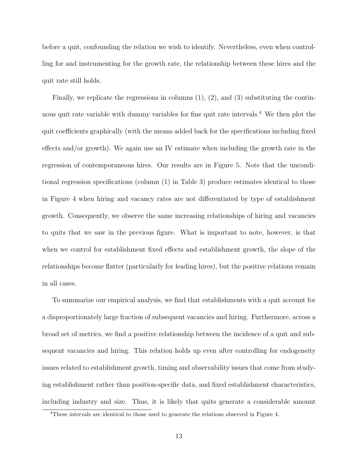before a quit, confounding the relation we wish to identify. Nevertheless, even when controlling for and instrumenting for the growth rate, the relationship between these hires and the quit rate still holds.

Finally, we replicate the regressions in columns  $(1), (2),$  and  $(3)$  substituting the continuous quit rate variable with dummy variables for fine quit rate intervals.<sup>4</sup> We then plot the quit coefficients graphically (with the means added back for the specifications including fixed effects and/or growth). We again use an IV estimate when including the growth rate in the regression of contemporaneous hires. Our results are in Figure 5. Note that the unconditional regression specifications (column (1) in Table 3) produce estimates identical to those in Figure 4 when hiring and vacancy rates are not differentiated by type of establishment growth. Consequently, we observe the same increasing relationships of hiring and vacancies to quits that we saw in the previous figure. What is important to note, however, is that when we control for establishment fixed effects and establishment growth, the slope of the relationships become flatter (particularly for leading hires), but the positive relations remain in all cases.

To summarize our empirical analysis, we find that establishments with a quit account for a disproportionately large fraction of subsequent vacancies and hiring. Furthermore, across a broad set of metrics, we find a positive relationship between the incidence of a quit and subsequent vacancies and hiring. This relation holds up even after controlling for endogeneity issues related to establishment growth, timing and observability issues that come from studying establishment rather than position-specific data, and fixed establishment characteristics, including industry and size. Thus, it is likely that quits generate a considerable amount

<sup>4</sup>These intervals are identical to those used to generate the relations observed in Figure 4.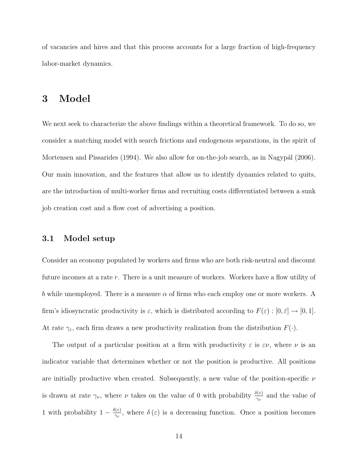of vacancies and hires and that this process accounts for a large fraction of high-frequency labor-market dynamics.

### 3 Model

We next seek to characterize the above findings within a theoretical framework. To do so, we consider a matching model with search frictions and endogenous separations, in the spirit of Mortensen and Pissarides  $(1994)$ . We also allow for on-the-job search, as in Nagypál  $(2006)$ . Our main innovation, and the features that allow us to identify dynamics related to quits, are the introduction of multi-worker firms and recruiting costs differentiated between a sunk job creation cost and a flow cost of advertising a position.

#### 3.1 Model setup

Consider an economy populated by workers and firms who are both risk-neutral and discount future incomes at a rate r. There is a unit measure of workers. Workers have a flow utility of b while unemployed. There is a measure  $\alpha$  of firms who each employ one or more workers. A firm's idiosyncratic productivity is  $\varepsilon$ , which is distributed according to  $F(\varepsilon) : [0, \bar{\varepsilon}] \to [0, 1]$ . At rate  $\gamma_{\varepsilon}$ , each firm draws a new productivity realization from the distribution  $F(\cdot)$ .

The output of a particular position at a firm with productivity  $\varepsilon$  is  $\varepsilon \nu$ , where  $\nu$  is an indicator variable that determines whether or not the position is productive. All positions are initially productive when created. Subsequently, a new value of the position-specific  $\nu$ is drawn at rate  $\gamma_{\nu}$ , where  $\nu$  takes on the value of 0 with probability  $\frac{\delta(\varepsilon)}{\gamma_{\nu}}$  and the value of 1 with probability  $1 - \frac{\delta(\varepsilon)}{2}$  $\frac{\partial(\varepsilon)}{\partial \nu}$ , where  $\delta(\varepsilon)$  is a decreasing function. Once a position becomes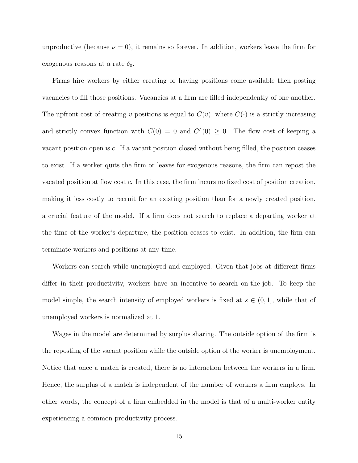unproductive (because  $\nu = 0$ ), it remains so forever. In addition, workers leave the firm for exogenous reasons at a rate  $\delta_0.$ 

Firms hire workers by either creating or having positions come available then posting vacancies to fill those positions. Vacancies at a firm are filled independently of one another. The upfront cost of creating v positions is equal to  $C(v)$ , where  $C(\cdot)$  is a strictly increasing and strictly convex function with  $C(0) = 0$  and  $C'(0) \geq 0$ . The flow cost of keeping a vacant position open is c. If a vacant position closed without being filled, the position ceases to exist. If a worker quits the firm or leaves for exogenous reasons, the firm can repost the vacated position at flow cost c. In this case, the firm incurs no fixed cost of position creation, making it less costly to recruit for an existing position than for a newly created position, a crucial feature of the model. If a firm does not search to replace a departing worker at the time of the worker's departure, the position ceases to exist. In addition, the firm can terminate workers and positions at any time.

Workers can search while unemployed and employed. Given that jobs at different firms differ in their productivity, workers have an incentive to search on-the-job. To keep the model simple, the search intensity of employed workers is fixed at  $s \in (0,1]$ , while that of unemployed workers is normalized at 1.

Wages in the model are determined by surplus sharing. The outside option of the firm is the reposting of the vacant position while the outside option of the worker is unemployment. Notice that once a match is created, there is no interaction between the workers in a firm. Hence, the surplus of a match is independent of the number of workers a firm employs. In other words, the concept of a firm embedded in the model is that of a multi-worker entity experiencing a common productivity process.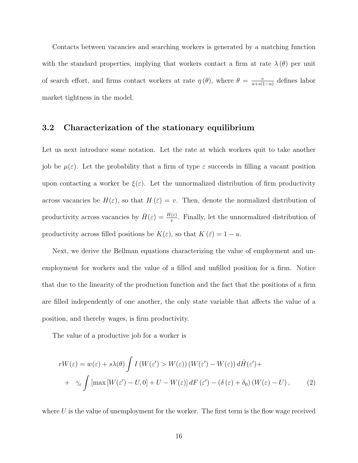Contacts between vacancies and searching workers is generated by a matching function with the standard properties, implying that workers contact a firm at rate  $\lambda(\theta)$  per unit of search effort, and firms contact workers at rate  $\eta(\theta)$ , where  $\theta = \frac{v}{v + \epsilon}$  $\frac{v}{u+s(1-u)}$  defines labor market tightness in the model.

#### 3.2 Characterization of the stationary equilibrium

Let us next introduce some notation. Let the rate at which workers quit to take another job be  $\mu(\varepsilon)$ . Let the probability that a firm of type  $\varepsilon$  succeeds in filling a vacant position upon contacting a worker be  $\xi(\varepsilon)$ . Let the unnormalized distribution of firm productivity across vacancies be  $H(\varepsilon)$ , so that  $H(\bar{\varepsilon}) = v$ . Then, denote the normalized distribution of productivity across vacancies by  $\hat{H}(\varepsilon) = \frac{H(\varepsilon)}{v}$ . Finally, let the unnormalized distribution of productivity across filled positions be  $K(\varepsilon)$ , so that  $K(\bar{\varepsilon}) = 1 - u$ .

Next, we derive the Bellman equations characterizing the value of employment and unemployment for workers and the value of a filled and unfilled position for a firm. Notice that due to the linearity of the production function and the fact that the positions of a firm are filled independently of one another, the only state variable that affects the value of a position, and thereby wages, is firm productivity.

The value of a productive job for a worker is

$$
rW(\varepsilon) = w(\varepsilon) + s\lambda(\theta) \int I(W(\varepsilon') > W(\varepsilon)) (W(\varepsilon') - W(\varepsilon)) d\hat{H}(\varepsilon') +
$$
  
+  $\gamma_{\varepsilon} \int [\max[W(\varepsilon') - U, 0] + U - W(\varepsilon)] dF(\varepsilon') - (\delta(\varepsilon) + \delta_0) (W(\varepsilon) - U),$  (2)

where  $U$  is the value of unemployment for the worker. The first term is the flow wage received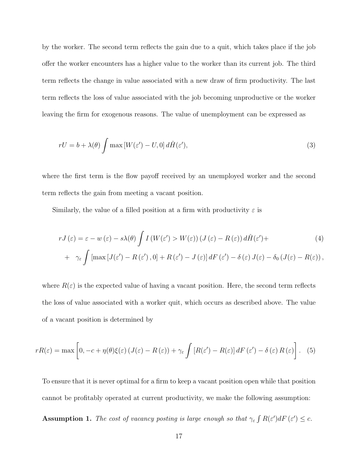by the worker. The second term reflects the gain due to a quit, which takes place if the job offer the worker encounters has a higher value to the worker than its current job. The third term reflects the change in value associated with a new draw of firm productivity. The last term reflects the loss of value associated with the job becoming unproductive or the worker leaving the firm for exogenous reasons. The value of unemployment can be expressed as

$$
rU = b + \lambda(\theta) \int \max \left[ W(\varepsilon') - U, 0 \right] d\hat{H}(\varepsilon'), \tag{3}
$$

where the first term is the flow payoff received by an unemployed worker and the second term reflects the gain from meeting a vacant position.

Similarly, the value of a filled position at a firm with productivity  $\varepsilon$  is

$$
rJ(\varepsilon) = \varepsilon - w(\varepsilon) - s\lambda(\theta) \int I(W(\varepsilon') > W(\varepsilon)) (J(\varepsilon) - R(\varepsilon)) d\hat{H}(\varepsilon') +
$$
  
+ 
$$
\gamma_{\varepsilon} \int \left[ \max [J(\varepsilon') - R(\varepsilon'), 0] + R(\varepsilon') - J(\varepsilon) \right] dF(\varepsilon') - \delta(\varepsilon) J(\varepsilon) - \delta_0 (J(\varepsilon) - R(\varepsilon)),
$$
 (4)

where  $R(\varepsilon)$  is the expected value of having a vacant position. Here, the second term reflects the loss of value associated with a worker quit, which occurs as described above. The value of a vacant position is determined by

$$
rR(\varepsilon) = \max\left[0, -c + \eta(\theta)\xi(\varepsilon)\left(J(\varepsilon) - R(\varepsilon)\right) + \gamma_{\varepsilon} \int \left[R(\varepsilon') - R(\varepsilon)\right]dF\left(\varepsilon'\right) - \delta(\varepsilon)R(\varepsilon)\right]. \tag{5}
$$

To ensure that it is never optimal for a firm to keep a vacant position open while that position cannot be profitably operated at current productivity, we make the following assumption:

**Assumption 1.** The cost of vacancy posting is large enough so that  $\gamma_{\varepsilon} \int R(\varepsilon') dF(\varepsilon') \leq c$ .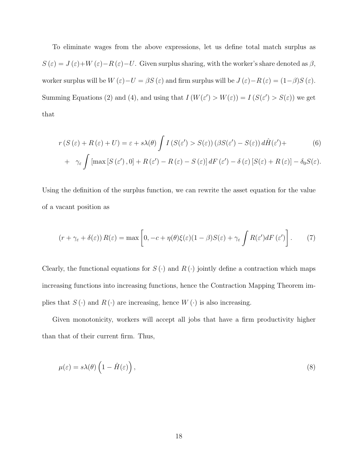To eliminate wages from the above expressions, let us define total match surplus as  $S(\varepsilon) = J(\varepsilon)+W(\varepsilon)-R(\varepsilon)-U$ . Given surplus sharing, with the worker's share denoted as  $\beta$ , worker surplus will be  $W(\varepsilon)-U = \beta S(\varepsilon)$  and firm surplus will be  $J(\varepsilon)-R(\varepsilon) = (1-\beta)S(\varepsilon)$ . Summing Equations (2) and (4), and using that  $I(W(\varepsilon') > W(\varepsilon)) = I(S(\varepsilon') > S(\varepsilon))$  we get that

$$
r(S(\varepsilon) + R(\varepsilon) + U) = \varepsilon + s\lambda(\theta) \int I(S(\varepsilon') > S(\varepsilon)) (\beta S(\varepsilon') - S(\varepsilon)) d\hat{H}(\varepsilon') +
$$
(6)

+ 
$$
\gamma_{\varepsilon} \int [\max [S(\varepsilon'), 0] + R(\varepsilon') - R(\varepsilon) - S(\varepsilon)] dF(\varepsilon') - \delta(\varepsilon) [S(\varepsilon) + R(\varepsilon)] - \delta_0 S(\varepsilon).
$$

Using the definition of the surplus function, we can rewrite the asset equation for the value of a vacant position as

$$
(r + \gamma_{\varepsilon} + \delta(\varepsilon)) R(\varepsilon) = \max \left[ 0, -c + \eta(\theta)\xi(\varepsilon)(1 - \beta)S(\varepsilon) + \gamma_{\varepsilon} \int R(\varepsilon')dF(\varepsilon') \right].
$$
 (7)

Clearly, the functional equations for  $S(\cdot)$  and  $R(\cdot)$  jointly define a contraction which maps increasing functions into increasing functions, hence the Contraction Mapping Theorem implies that  $S(\cdot)$  and  $R(\cdot)$  are increasing, hence  $W(\cdot)$  is also increasing.

Given monotonicity, workers will accept all jobs that have a firm productivity higher than that of their current firm. Thus,

$$
\mu(\varepsilon) = s\lambda(\theta) \left( 1 - \hat{H}(\varepsilon) \right),\tag{8}
$$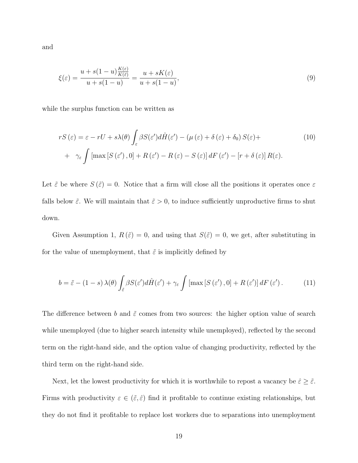and

$$
\xi(\varepsilon) = \frac{u + s(1-u)\frac{K(\varepsilon)}{K(\varepsilon)}}{u + s(1-u)} = \frac{u + sK(\varepsilon)}{u + s(1-u)},\tag{9}
$$

while the surplus function can be written as

$$
rS(\varepsilon) = \varepsilon - rU + s\lambda(\theta) \int_{\varepsilon} \beta S(\varepsilon') d\hat{H}(\varepsilon') - (\mu(\varepsilon) + \delta(\varepsilon) + \delta_0) S(\varepsilon) +
$$
  
+ 
$$
\gamma_{\varepsilon} \int \left[ \max \left[ S(\varepsilon'), 0 \right] + R(\varepsilon') - R(\varepsilon) - S(\varepsilon) \right] dF(\varepsilon') - \left[ r + \delta(\varepsilon) \right] R(\varepsilon).
$$
 (10)

Let  $\tilde{\varepsilon}$  be where  $S(\tilde{\varepsilon}) = 0$ . Notice that a firm will close all the positions it operates once  $\varepsilon$ falls below  $\tilde{\varepsilon}$ . We will maintain that  $\tilde{\varepsilon} > 0$ , to induce sufficiently unproductive firms to shut down.

Given Assumption 1,  $R(\tilde{\varepsilon}) = 0$ , and using that  $S(\tilde{\varepsilon}) = 0$ , we get, after substituting in for the value of unemployment, that  $\tilde{\varepsilon}$  is implicitly defined by

$$
b = \tilde{\varepsilon} - (1 - s) \lambda(\theta) \int_{\tilde{\varepsilon}} \beta S(\varepsilon') d\hat{H}(\varepsilon') + \gamma_{\varepsilon} \int \left[ \max \left[ S(\varepsilon'), 0 \right] + R(\varepsilon') \right] dF(\varepsilon') \,. \tag{11}
$$

The difference between b and  $\tilde{\varepsilon}$  comes from two sources: the higher option value of search while unemployed (due to higher search intensity while unemployed), reflected by the second term on the right-hand side, and the option value of changing productivity, reflected by the third term on the right-hand side.

Next, let the lowest productivity for which it is worthwhile to repost a vacancy be  $\hat{\varepsilon} \geq \tilde{\varepsilon}$ . Firms with productivity  $\varepsilon \in (\tilde{\varepsilon}, \hat{\varepsilon})$  find it profitable to continue existing relationships, but they do not find it profitable to replace lost workers due to separations into unemployment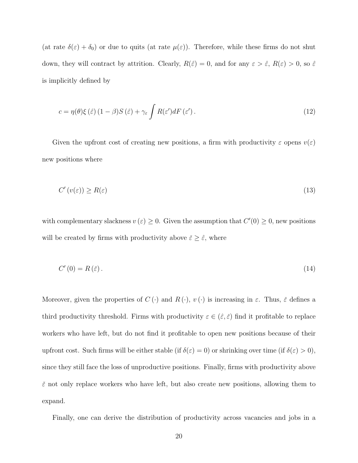(at rate  $\delta(\varepsilon) + \delta_0$ ) or due to quits (at rate  $\mu(\varepsilon)$ ). Therefore, while these firms do not shut down, they will contract by attrition. Clearly,  $R(\hat{\varepsilon}) = 0$ , and for any  $\varepsilon > \hat{\varepsilon}$ ,  $R(\varepsilon) > 0$ , so  $\hat{\varepsilon}$ is implicitly defined by

$$
c = \eta(\theta)\xi(\hat{\varepsilon})\left(1 - \beta\right)S(\hat{\varepsilon}) + \gamma_{\varepsilon}\int R(\varepsilon')dF(\varepsilon').\tag{12}
$$

Given the upfront cost of creating new positions, a firm with productivity  $\varepsilon$  opens  $v(\varepsilon)$ new positions where

$$
C'(v(\varepsilon)) \ge R(\varepsilon) \tag{13}
$$

with complementary slackness  $v(\varepsilon) \geq 0$ . Given the assumption that  $C'(0) \geq 0$ , new positions will be created by firms with productivity above  $\check{\varepsilon} \geq \hat{\varepsilon}$ , where

$$
C'(0) = R(\check{\varepsilon})\,. \tag{14}
$$

Moreover, given the properties of  $C(\cdot)$  and  $R(\cdot)$ ,  $v(\cdot)$  is increasing in  $\varepsilon$ . Thus,  $\check{\varepsilon}$  defines a third productivity threshold. Firms with productivity  $\varepsilon \in (\hat{\varepsilon}, \check{\varepsilon})$  find it profitable to replace workers who have left, but do not find it profitable to open new positions because of their upfront cost. Such firms will be either stable (if  $\delta(\varepsilon) = 0$ ) or shrinking over time (if  $\delta(\varepsilon) > 0$ ), since they still face the loss of unproductive positions. Finally, firms with productivity above  $\check{\varepsilon}$  not only replace workers who have left, but also create new positions, allowing them to expand.

Finally, one can derive the distribution of productivity across vacancies and jobs in a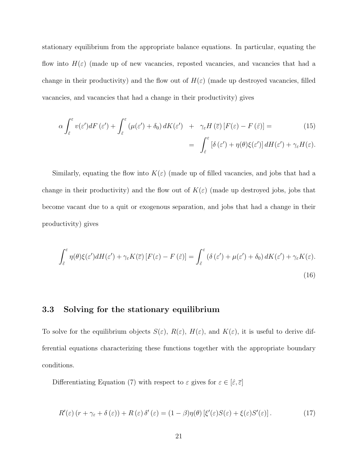stationary equilibrium from the appropriate balance equations. In particular, equating the flow into  $H(\varepsilon)$  (made up of new vacancies, reposted vacancies, and vacancies that had a change in their productivity) and the flow out of  $H(\varepsilon)$  (made up destroyed vacancies, filled vacancies, and vacancies that had a change in their productivity) gives

$$
\alpha \int_{\hat{\varepsilon}}^{\varepsilon} v(\varepsilon') dF(\varepsilon') + \int_{\hat{\varepsilon}}^{\varepsilon} (\mu(\varepsilon') + \delta_0) dK(\varepsilon') + \gamma_{\varepsilon} H(\overline{\varepsilon}) [F(\varepsilon) - F(\hat{\varepsilon})] =
$$
\n
$$
= \int_{\hat{\varepsilon}}^{\varepsilon} [\delta(\varepsilon') + \eta(\theta) \xi(\varepsilon')] dH(\varepsilon') + \gamma_{\varepsilon} H(\varepsilon).
$$
\n(15)

Similarly, equating the flow into  $K(\varepsilon)$  (made up of filled vacancies, and jobs that had a change in their productivity) and the flow out of  $K(\varepsilon)$  (made up destroyed jobs, jobs that become vacant due to a quit or exogenous separation, and jobs that had a change in their productivity) gives

$$
\int_{\tilde{\varepsilon}}^{\varepsilon} \eta(\theta) \xi(\varepsilon') dH(\varepsilon') + \gamma_{\varepsilon} K(\overline{\varepsilon}) \left[ F(\varepsilon) - F(\tilde{\varepsilon}) \right] = \int_{\tilde{\varepsilon}}^{\varepsilon} \left( \delta(\varepsilon') + \mu(\varepsilon') + \delta_0 \right) dK(\varepsilon') + \gamma_{\varepsilon} K(\varepsilon).
$$
\n(16)

#### 3.3 Solving for the stationary equilibrium

To solve for the equilibrium objects  $S(\varepsilon)$ ,  $R(\varepsilon)$ ,  $H(\varepsilon)$ , and  $K(\varepsilon)$ , it is useful to derive differential equations characterizing these functions together with the appropriate boundary conditions.

Differentiating Equation (7) with respect to  $\varepsilon$  gives for  $\varepsilon \in [\hat{\varepsilon}, \overline{\varepsilon}]$ 

$$
R'(\varepsilon)(r + \gamma_{\varepsilon} + \delta(\varepsilon)) + R(\varepsilon)\delta'(\varepsilon) = (1 - \beta)\eta(\theta)\left[\xi'(\varepsilon)S(\varepsilon) + \xi(\varepsilon)S'(\varepsilon)\right].\tag{17}
$$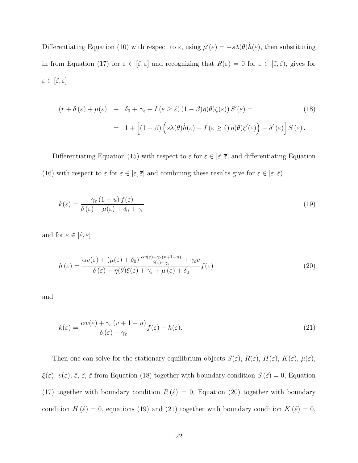Differentiating Equation (10) with respect to  $\varepsilon$ , using  $\mu'(\varepsilon) = -s\lambda(\theta)\hat{h}(\varepsilon)$ , then substituting in from Equation (17) for  $\varepsilon \in [\hat{\varepsilon}, \overline{\varepsilon}]$  and recognizing that  $R(\varepsilon) = 0$  for  $\varepsilon \in [\tilde{\varepsilon}, \hat{\varepsilon})$ , gives for  $\varepsilon \in [\tilde \varepsilon, \overline \varepsilon]$ 

$$
(r + \delta(\varepsilon) + \mu(\varepsilon) + \delta_0 + \gamma_{\varepsilon} + I(\varepsilon \ge \hat{\varepsilon}) (1 - \beta) \eta(\theta) \xi(\varepsilon)) S'(\varepsilon) =
$$
\n
$$
= 1 + \left[ (1 - \beta) \left( s\lambda(\theta) \hat{h}(\varepsilon) - I(\varepsilon \ge \hat{\varepsilon}) \eta(\theta) \xi'(\varepsilon) \right) - \delta'(\varepsilon) \right] S(\varepsilon).
$$
\n(18)

Differentiating Equation (15) with respect to  $\varepsilon$  for  $\varepsilon \in [\hat{\varepsilon}, \overline{\varepsilon}]$  and differentiating Equation (16) with respect to  $\varepsilon$  for  $\varepsilon \in [\tilde{\varepsilon}, \bar{\varepsilon}]$  and combining these results give for  $\varepsilon \in [\tilde{\varepsilon}, \hat{\varepsilon})$ 

$$
k(\varepsilon) = \frac{\gamma_{\varepsilon} (1 - u) f(\varepsilon)}{\delta(\varepsilon) + \mu(\varepsilon) + \delta_0 + \gamma_{\varepsilon}}
$$
(19)

and for  $\varepsilon\in[\hat\varepsilon,\overline\varepsilon]$ 

$$
h(\varepsilon) = \frac{\alpha v(\varepsilon) + (\mu(\varepsilon) + \delta_0) \frac{\alpha v(\varepsilon) + \gamma_{\varepsilon}(v + 1 - u)}{\delta(\varepsilon) + \gamma_{\varepsilon}} + \gamma_{\varepsilon} v}{\delta(\varepsilon) + \eta(\theta)\xi(\varepsilon) + \gamma_{\varepsilon} + \mu(\varepsilon) + \delta_0} f(\varepsilon)
$$
\n(20)

and

$$
k(\varepsilon) = \frac{\alpha v(\varepsilon) + \gamma_{\varepsilon} (v + 1 - u)}{\delta(\varepsilon) + \gamma_{\varepsilon}} f(\varepsilon) - h(\varepsilon).
$$
\n(21)

Then one can solve for the stationary equilibrium objects  $S(\varepsilon)$ ,  $R(\varepsilon)$ ,  $H(\varepsilon)$ ,  $H(\varepsilon)$ ,  $\mu(\varepsilon)$ ,  $\xi(\varepsilon)$ ,  $v(\varepsilon)$ ,  $\tilde{\varepsilon}$ ,  $\tilde{\varepsilon}$ ,  $\tilde{\varepsilon}$  from Equation (18) together with boundary condition  $S(\tilde{\varepsilon}) = 0$ , Equation (17) together with boundary condition  $R(\hat{\varepsilon}) = 0$ , Equation (20) together with boundary condition  $H(\hat{\varepsilon}) = 0$ , equations (19) and (21) together with boundary condition  $K(\tilde{\varepsilon}) = 0$ ,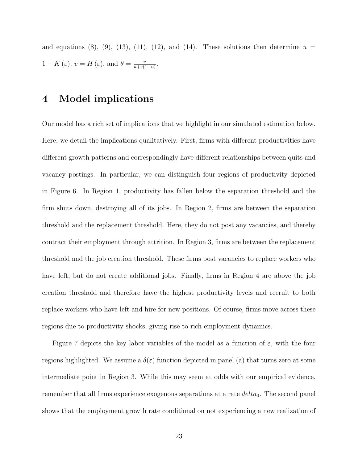and equations (8), (9), (13), (11), (12), and (14). These solutions then determine  $u =$  $1 - K(\overline{\varepsilon}), v = H(\overline{\varepsilon}), \text{ and } \theta = \frac{v}{v + \varepsilon}$  $\frac{v}{u+s(1-u)}$ .

### 4 Model implications

Our model has a rich set of implications that we highlight in our simulated estimation below. Here, we detail the implications qualitatively. First, firms with different productivities have different growth patterns and correspondingly have different relationships between quits and vacancy postings. In particular, we can distinguish four regions of productivity depicted in Figure 6. In Region 1, productivity has fallen below the separation threshold and the firm shuts down, destroying all of its jobs. In Region 2, firms are between the separation threshold and the replacement threshold. Here, they do not post any vacancies, and thereby contract their employment through attrition. In Region 3, firms are between the replacement threshold and the job creation threshold. These firms post vacancies to replace workers who have left, but do not create additional jobs. Finally, firms in Region 4 are above the job creation threshold and therefore have the highest productivity levels and recruit to both replace workers who have left and hire for new positions. Of course, firms move across these regions due to productivity shocks, giving rise to rich employment dynamics.

Figure 7 depicts the key labor variables of the model as a function of  $\varepsilon$ , with the four regions highlighted. We assume a  $\delta(\varepsilon)$  function depicted in panel (a) that turns zero at some intermediate point in Region 3. While this may seem at odds with our empirical evidence, remember that all firms experience exogenous separations at a rate  $delta_0$ . The second panel shows that the employment growth rate conditional on not experiencing a new realization of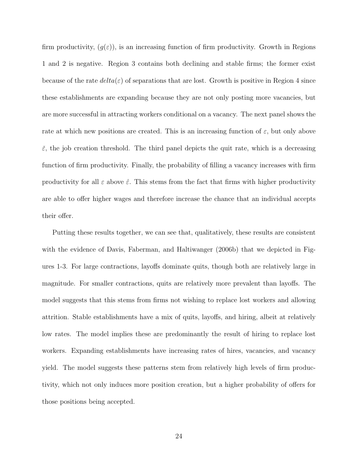firm productivity,  $(g(\varepsilon))$ , is an increasing function of firm productivity. Growth in Regions 1 and 2 is negative. Region 3 contains both declining and stable firms; the former exist because of the rate  $delta(\varepsilon)$  of separations that are lost. Growth is positive in Region 4 since these establishments are expanding because they are not only posting more vacancies, but are more successful in attracting workers conditional on a vacancy. The next panel shows the rate at which new positions are created. This is an increasing function of  $\varepsilon$ , but only above  $\check{\varepsilon}$ , the job creation threshold. The third panel depicts the quit rate, which is a decreasing function of firm productivity. Finally, the probability of filling a vacancy increases with firm productivity for all  $\varepsilon$  above  $\hat{\varepsilon}$ . This stems from the fact that firms with higher productivity are able to offer higher wages and therefore increase the chance that an individual accepts their offer.

Putting these results together, we can see that, qualitatively, these results are consistent with the evidence of Davis, Faberman, and Haltiwanger (2006b) that we depicted in Figures 1-3. For large contractions, layoffs dominate quits, though both are relatively large in magnitude. For smaller contractions, quits are relatively more prevalent than layoffs. The model suggests that this stems from firms not wishing to replace lost workers and allowing attrition. Stable establishments have a mix of quits, layoffs, and hiring, albeit at relatively low rates. The model implies these are predominantly the result of hiring to replace lost workers. Expanding establishments have increasing rates of hires, vacancies, and vacancy yield. The model suggests these patterns stem from relatively high levels of firm productivity, which not only induces more position creation, but a higher probability of offers for those positions being accepted.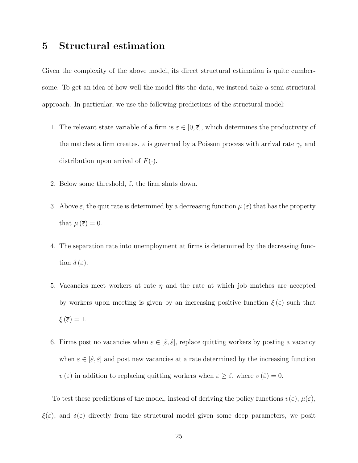# 5 Structural estimation

Given the complexity of the above model, its direct structural estimation is quite cumbersome. To get an idea of how well the model fits the data, we instead take a semi-structural approach. In particular, we use the following predictions of the structural model:

- 1. The relevant state variable of a firm is  $\varepsilon \in [0, \overline{\varepsilon}]$ , which determines the productivity of the matches a firm creates.  $\varepsilon$  is governed by a Poisson process with arrival rate  $\gamma_{\varepsilon}$  and distribution upon arrival of  $F(\cdot)$ .
- 2. Below some threshold,  $\tilde{\varepsilon}$ , the firm shuts down.
- 3. Above  $\tilde{\varepsilon}$ , the quit rate is determined by a decreasing function  $\mu(\varepsilon)$  that has the property that  $\mu(\overline{\varepsilon})=0$ .
- 4. The separation rate into unemployment at firms is determined by the decreasing function  $\delta(\varepsilon)$ .
- 5. Vacancies meet workers at rate  $\eta$  and the rate at which job matches are accepted by workers upon meeting is given by an increasing positive function  $\xi(\varepsilon)$  such that  $\xi(\overline{\varepsilon})=1.$
- 6. Firms post no vacancies when  $\varepsilon \in [\tilde{\varepsilon}, \hat{\varepsilon}]$ , replace quitting workers by posting a vacancy when  $\varepsilon \in [\hat{\varepsilon}, \check{\varepsilon}]$  and post new vacancies at a rate determined by the increasing function  $v(\varepsilon)$  in addition to replacing quitting workers when  $\varepsilon \geq \varepsilon$ , where  $v(\varepsilon) = 0$ .

To test these predictions of the model, instead of deriving the policy functions  $v(\varepsilon)$ ,  $\mu(\varepsilon)$ ,  $\xi(\varepsilon)$ , and  $\delta(\varepsilon)$  directly from the structural model given some deep parameters, we posit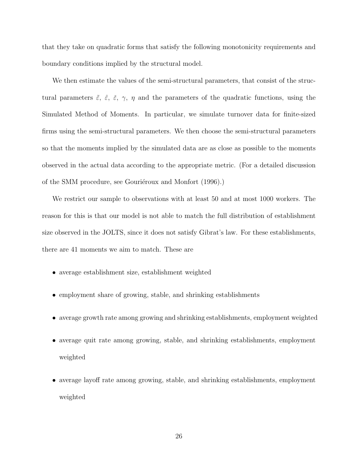that they take on quadratic forms that satisfy the following monotonicity requirements and boundary conditions implied by the structural model.

We then estimate the values of the semi-structural parameters, that consist of the structural parameters  $\tilde{\varepsilon}$ ,  $\tilde{\varepsilon}$ ,  $\tilde{\varepsilon}$ ,  $\gamma$ ,  $\eta$  and the parameters of the quadratic functions, using the Simulated Method of Moments. In particular, we simulate turnover data for finite-sized firms using the semi-structural parameters. We then choose the semi-structural parameters so that the moments implied by the simulated data are as close as possible to the moments observed in the actual data according to the appropriate metric. (For a detailed discussion of the SMM procedure, see Gouriéroux and Monfort (1996).)

We restrict our sample to observations with at least 50 and at most 1000 workers. The reason for this is that our model is not able to match the full distribution of establishment size observed in the JOLTS, since it does not satisfy Gibrat's law. For these establishments, there are 41 moments we aim to match. These are

- average establishment size, establishment weighted
- employment share of growing, stable, and shrinking establishments
- average growth rate among growing and shrinking establishments, employment weighted
- average quit rate among growing, stable, and shrinking establishments, employment weighted
- average layoff rate among growing, stable, and shrinking establishments, employment weighted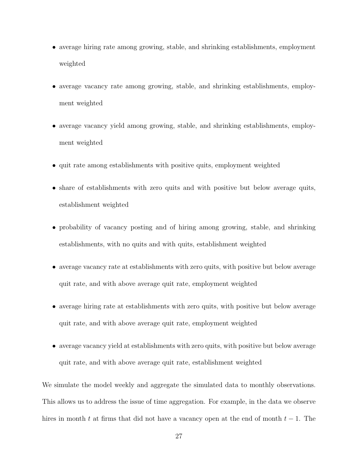- average hiring rate among growing, stable, and shrinking establishments, employment weighted
- average vacancy rate among growing, stable, and shrinking establishments, employment weighted
- average vacancy yield among growing, stable, and shrinking establishments, employment weighted
- quit rate among establishments with positive quits, employment weighted
- share of establishments with zero quits and with positive but below average quits, establishment weighted
- probability of vacancy posting and of hiring among growing, stable, and shrinking establishments, with no quits and with quits, establishment weighted
- average vacancy rate at establishments with zero quits, with positive but below average quit rate, and with above average quit rate, employment weighted
- average hiring rate at establishments with zero quits, with positive but below average quit rate, and with above average quit rate, employment weighted
- average vacancy yield at establishments with zero quits, with positive but below average quit rate, and with above average quit rate, establishment weighted

We simulate the model weekly and aggregate the simulated data to monthly observations. This allows us to address the issue of time aggregation. For example, in the data we observe hires in month t at firms that did not have a vacancy open at the end of month  $t-1$ . The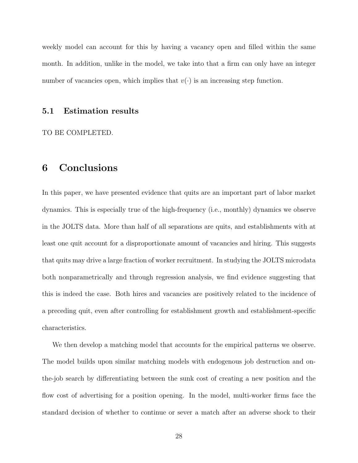weekly model can account for this by having a vacancy open and filled within the same month. In addition, unlike in the model, we take into that a firm can only have an integer number of vacancies open, which implies that  $v(\cdot)$  is an increasing step function.

#### 5.1 Estimation results

TO BE COMPLETED.

# 6 Conclusions

In this paper, we have presented evidence that quits are an important part of labor market dynamics. This is especially true of the high-frequency (i.e., monthly) dynamics we observe in the JOLTS data. More than half of all separations are quits, and establishments with at least one quit account for a disproportionate amount of vacancies and hiring. This suggests that quits may drive a large fraction of worker recruitment. In studying the JOLTS microdata both nonparametrically and through regression analysis, we find evidence suggesting that this is indeed the case. Both hires and vacancies are positively related to the incidence of a preceding quit, even after controlling for establishment growth and establishment-specific characteristics.

We then develop a matching model that accounts for the empirical patterns we observe. The model builds upon similar matching models with endogenous job destruction and onthe-job search by differentiating between the sunk cost of creating a new position and the flow cost of advertising for a position opening. In the model, multi-worker firms face the standard decision of whether to continue or sever a match after an adverse shock to their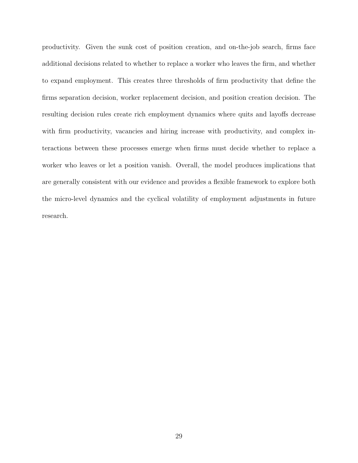productivity. Given the sunk cost of position creation, and on-the-job search, firms face additional decisions related to whether to replace a worker who leaves the firm, and whether to expand employment. This creates three thresholds of firm productivity that define the firms separation decision, worker replacement decision, and position creation decision. The resulting decision rules create rich employment dynamics where quits and layoffs decrease with firm productivity, vacancies and hiring increase with productivity, and complex interactions between these processes emerge when firms must decide whether to replace a worker who leaves or let a position vanish. Overall, the model produces implications that are generally consistent with our evidence and provides a flexible framework to explore both the micro-level dynamics and the cyclical volatility of employment adjustments in future research.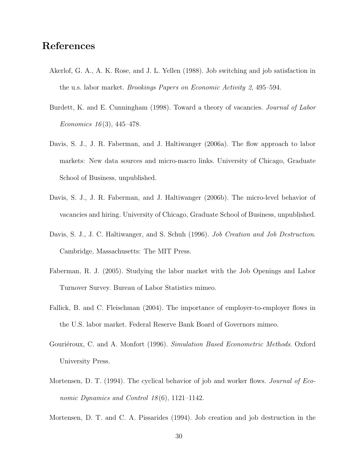# References

- Akerlof, G. A., A. K. Rose, and J. L. Yellen (1988). Job switching and job satisfaction in the u.s. labor market. Brookings Papers on Economic Activity 2, 495–594.
- Burdett, K. and E. Cunningham (1998). Toward a theory of vacancies. *Journal of Labor* Economics 16(3), 445–478.
- Davis, S. J., J. R. Faberman, and J. Haltiwanger (2006a). The flow approach to labor markets: New data sources and micro-macro links. University of Chicago, Graduate School of Business, unpublished.
- Davis, S. J., J. R. Faberman, and J. Haltiwanger (2006b). The micro-level behavior of vacancies and hiring. University of Chicago, Graduate School of Business, unpublished.
- Davis, S. J., J. C. Haltiwanger, and S. Schuh (1996). Job Creation and Job Destruction. Cambridge, Massachusetts: The MIT Press.
- Faberman, R. J. (2005). Studying the labor market with the Job Openings and Labor Turnover Survey. Bureau of Labor Statistics mimeo.
- Fallick, B. and C. Fleischman (2004). The importance of employer-to-employer flows in the U.S. labor market. Federal Reserve Bank Board of Governors mimeo.
- Gouriéroux, C. and A. Monfort (1996). Simulation Based Econometric Methods. Oxford University Press.
- Mortensen, D. T. (1994). The cyclical behavior of job and worker flows. Journal of Economic Dynamics and Control  $18(6)$ , 1121–1142.

Mortensen, D. T. and C. A. Pissarides (1994). Job creation and job destruction in the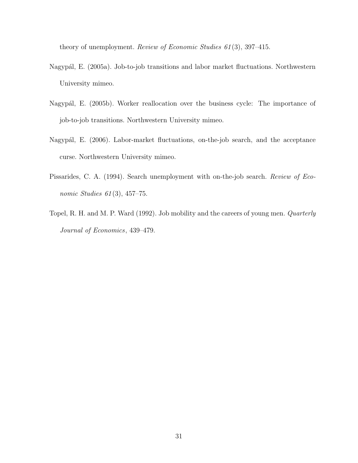theory of unemployment. Review of Economic Studies 61(3), 397–415.

- Nagypál, E. (2005a). Job-to-job transitions and labor market fluctuations. Northwestern University mimeo.
- Nagypál, E. (2005b). Worker reallocation over the business cycle: The importance of job-to-job transitions. Northwestern University mimeo.
- Nagypál, E. (2006). Labor-market fluctuations, on-the-job search, and the acceptance curse. Northwestern University mimeo.
- Pissarides, C. A. (1994). Search unemployment with on-the-job search. Review of Economic Studies  $61(3)$ , 457–75.
- Topel, R. H. and M. P. Ward (1992). Job mobility and the careers of young men. Quarterly Journal of Economics, 439–479.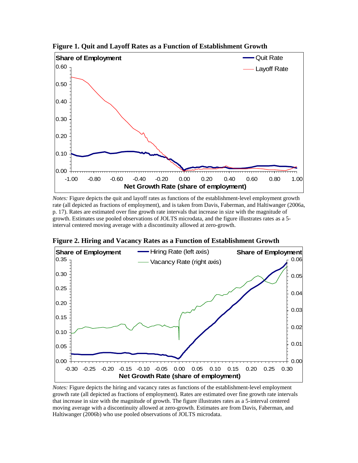

**Figure 1. Quit and Layoff Rates as a Function of Establishment Growth** 

*Notes:* Figure depicts the quit and layoff rates as functions of the establishment-level employment growth rate (all depicted as fractions of employment), and is taken from Davis, Faberman, and Haltiwanger (2006a, p. 17). Rates are estimated over fine growth rate intervals that increase in size with the magnitude of growth. Estimates use pooled observations of JOLTS microdata, and the figure illustrates rates as a 5 interval centered moving average with a discontinuity allowed at zero-growth.



**Figure 2. Hiring and Vacancy Rates as a Function of Establishment Growth** 

*Notes:* Figure depicts the hiring and vacancy rates as functions of the establishment-level employment growth rate (all depicted as fractions of employment). Rates are estimated over fine growth rate intervals that increase in size with the magnitude of growth. The figure illustrates rates as a 5-interval centered moving average with a discontinuity allowed at zero-growth. Estimates are from Davis, Faberman, and Haltiwanger (2006b) who use pooled observations of JOLTS microdata.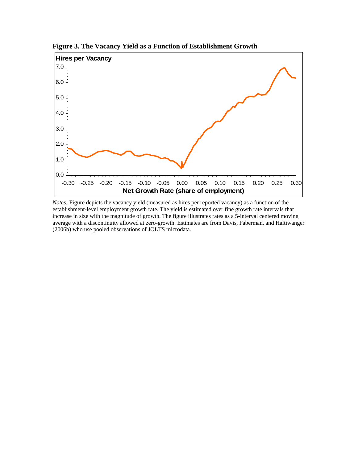

**Figure 3. The Vacancy Yield as a Function of Establishment Growth** 

*Notes:* Figure depicts the vacancy yield (measured as hires per reported vacancy) as a function of the establishment-level employment growth rate. The yield is estimated over fine growth rate intervals that increase in size with the magnitude of growth. The figure illustrates rates as a 5-interval centered moving average with a discontinuity allowed at zero-growth. Estimates are from Davis, Faberman, and Haltiwanger (2006b) who use pooled observations of JOLTS microdata.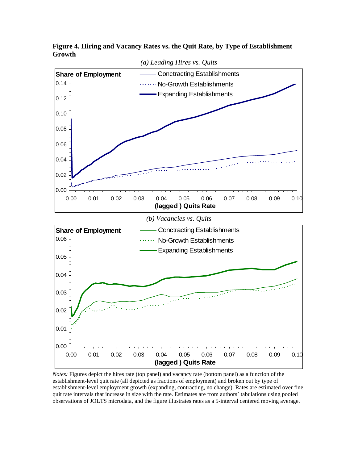

**Figure 4. Hiring and Vacancy Rates vs. the Quit Rate, by Type of Establishment Growth** 

*Notes:* Figures depict the hires rate (top panel) and vacancy rate (bottom panel) as a function of the establishment-level quit rate (all depicted as fractions of employment) and broken out by type of establishment-level employment growth (expanding, contracting, no change). Rates are estimated over fine quit rate intervals that increase in size with the rate. Estimates are from authors' tabulations using pooled observations of JOLTS microdata, and the figure illustrates rates as a 5-interval centered moving average.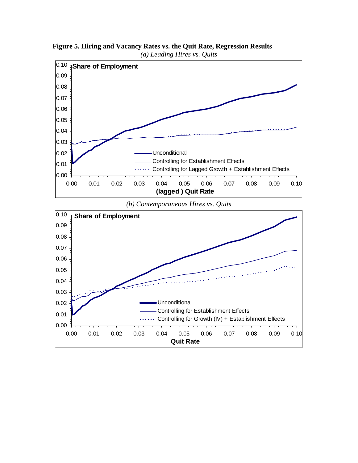

**Figure 5. Hiring and Vacancy Rates vs. the Quit Rate, Regression Results**  *(a) Leading Hires vs. Quits*

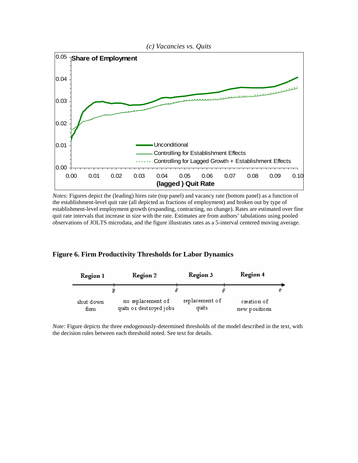

*Notes:* Figures depict the (leading) hires rate (top panel) and vacancy rate (bottom panel) as a function of the establishment-level quit rate (all depicted as fractions of employment) and broken out by type of establishment-level employment growth (expanding, contracting, no change). Rates are estimated over fine quit rate intervals that increase in size with the rate. Estimates are from authors' tabulations using pooled observations of JOLTS microdata, and the figure illustrates rates as a 5-interval centered moving average.

#### **Figure 6. Firm Productivity Thresholds for Labor Dynamics**

| Region 1          | Region 2                                     | Region 3                | Region 4                     |  |
|-------------------|----------------------------------------------|-------------------------|------------------------------|--|
|                   | ê<br>g                                       | ĕ                       |                              |  |
| shut down<br>firm | no replacement of<br>quits or destroyed jobs | replacement of<br>quits | creation of<br>new positions |  |

*Note:* Figure depicts the three endogenously-determined thresholds of the model described in the text, with the decision rules between each threshold noted. See text for details.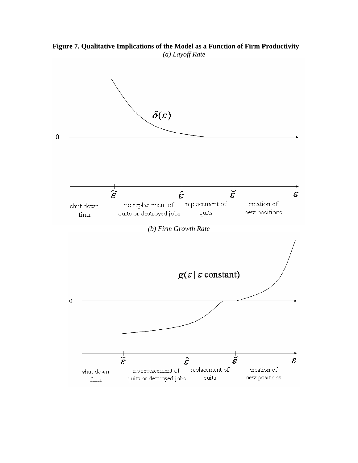**Figure 7. Qualitative Implications of the Model as a Function of Firm Productivity**  *(a) Layoff Rate* 

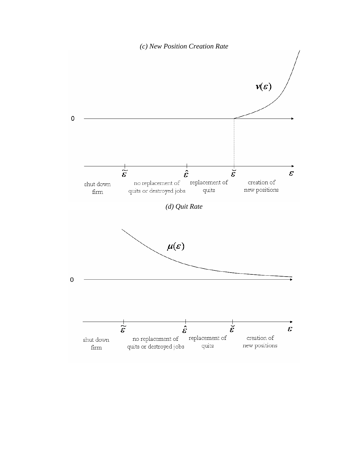

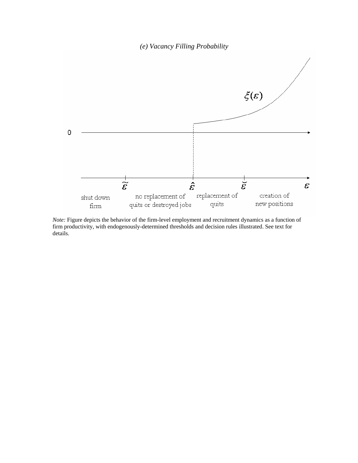*(e) Vacancy Filling Probability*



*Note:* Figure depicts the behavior of the firm-level employment and recruitment dynamics as a function of firm productivity, with endogenously-determined thresholds and decision rules illustrated. See text for details.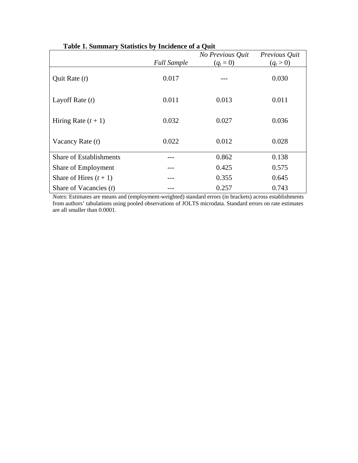|                                | <b>Full Sample</b> | No Previous Quit<br>$(q_t = 0)$ | Previous Quit<br>$(q_t > 0)$ |
|--------------------------------|--------------------|---------------------------------|------------------------------|
| Quit Rate $(t)$                | 0.017              |                                 | 0.030                        |
| Layoff Rate $(t)$              | 0.011              | 0.013                           | 0.011                        |
| Hiring Rate $(t + 1)$          | 0.032              | 0.027                           | 0.036                        |
| Vacancy Rate $(t)$             | 0.022              | 0.012                           | 0.028                        |
| <b>Share of Establishments</b> |                    | 0.862                           | 0.138                        |
| Share of Employment            |                    | 0.425                           | 0.575                        |
| Share of Hires $(t + 1)$       |                    | 0.355                           | 0.645                        |
| Share of Vacancies $(t)$       |                    | 0.257                           | 0.743                        |

**Table 1. Summary Statistics by Incidence of a Quit**

*Notes*: Estimates are means and (employment-weighted) standard errors (in brackets) across establishments from authors' tabulations using pooled observations of JOLTS microdata. Standard errors on rate estimates are all smaller than 0.0001.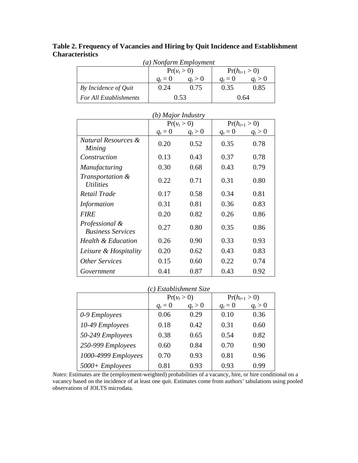|                        |  |  | Table 2. Frequency of Vacancies and Hiring by Quit Incidence and Establishment |  |
|------------------------|--|--|--------------------------------------------------------------------------------|--|
| <b>Characteristics</b> |  |  |                                                                                |  |

| (a) Nonfarm Employment |           |               |                   |      |  |
|------------------------|-----------|---------------|-------------------|------|--|
|                        |           | $Pr(v_t > 0)$ | $Pr(h_{t+1} > 0)$ |      |  |
|                        | $a_i = 0$ | $a_t > 0$     | $q_t = 0$         |      |  |
| By Incidence of Quit   | 0.24      | 0.75          | 0.35              | 0.85 |  |
| For All Establishments |           | 0.53          | 0.64              |      |  |

| (b) Major Industry                         |               |           |           |                   |  |
|--------------------------------------------|---------------|-----------|-----------|-------------------|--|
|                                            | $Pr(v_t > 0)$ |           |           | $Pr(h_{t+1} > 0)$ |  |
|                                            | $q_t = 0$     | $q_t > 0$ | $q_t = 0$ | $q_t > 0$         |  |
| Natural Resources &<br>Mining              | 0.20          | 0.52      | 0.35      | 0.78              |  |
| Construction                               | 0.13          | 0.43      | 0.37      | 0.78              |  |
| Manufacturing                              | 0.30          | 0.68      | 0.43      | 0.79              |  |
| Transportation &<br><i>Utilities</i>       | 0.22          | 0.71      | 0.31      | 0.80              |  |
| Retail Trade                               | 0.17          | 0.58      | 0.34      | 0.81              |  |
| Information                                | 0.31          | 0.81      | 0.36      | 0.83              |  |
| <b>FIRE</b>                                | 0.20          | 0.82      | 0.26      | 0.86              |  |
| Professional &<br><b>Business Services</b> | 0.27          | 0.80      | 0.35      | 0.86              |  |
| Health & Education                         | 0.26          | 0.90      | 0.33      | 0.93              |  |
| Leisure & Hospitality                      | 0.20          | 0.62      | 0.43      | 0.83              |  |
| <b>Other Services</b>                      | 0.15          | 0.60      | 0.22      | 0.74              |  |
| Government                                 | 0.41          | 0.87      | 0.43      | 0.92              |  |

|  | (b) Major Industry |
|--|--------------------|
|  |                    |

| (c) Establishment Size |           |               |           |                   |  |
|------------------------|-----------|---------------|-----------|-------------------|--|
|                        |           | $Pr(v_t > 0)$ |           | $Pr(h_{t+1} > 0)$ |  |
|                        | $q_t = 0$ | $q_t > 0$     | $q_t = 0$ | $q_t > 0$         |  |
| 0-9 Employees          | 0.06      | 0.29          | 0.10      | 0.36              |  |
| 10-49 Employees        | 0.18      | 0.42          | 0.31      | 0.60              |  |
| 50-249 Employees       | 0.38      | 0.65          | 0.54      | 0.82              |  |
| 250-999 Employees      | 0.60      | 0.84          | 0.70      | 0.90              |  |
| 1000-4999 Employees    | 0.70      | 0.93          | 0.81      | 0.96              |  |
| $5000 +$ Employees     | 0.81      | 0.93          | 0.93      | 0.99              |  |

*Notes*: Estimates are the (employment-weighted) probabilities of a vacancy, hire, or hire conditional on a vacancy based on the incidence of at least one quit. Estimates come from authors' tabulations using pooled observations of JOLTS microdata.